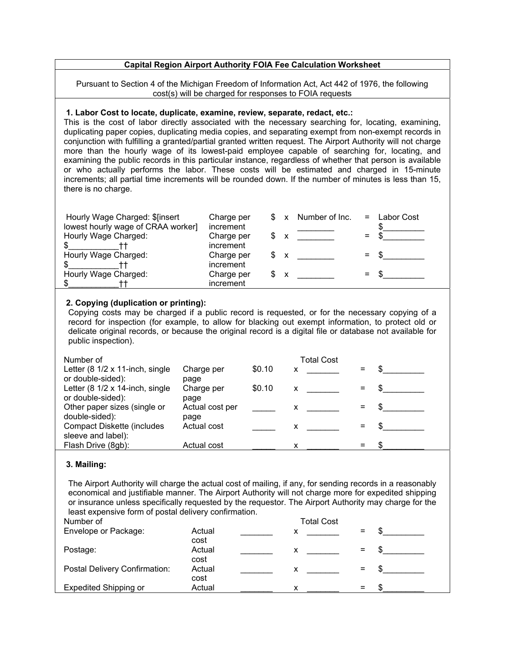## **Capital Region Airport Authority FOIA Fee Calculation Worksheet**

Pursuant to Section 4 of the Michigan Freedom of Information Act, Act 442 of 1976, the following cost(s) will be charged for responses to FOIA requests

## **1. Labor Cost to locate, duplicate, examine, review, separate, redact, etc.:**

This is the cost of labor directly associated with the necessary searching for, locating, examining, duplicating paper copies, duplicating media copies, and separating exempt from non-exempt records in conjunction with fulfilling a granted/partial granted written request. The Airport Authority will not charge more than the hourly wage of its lowest-paid employee capable of searching for, locating, and examining the public records in this particular instance, regardless of whether that person is available or who actually performs the labor. These costs will be estimated and charged in 15-minute increments; all partial time increments will be rounded down. If the number of minutes is less than 15, there is no charge.

| Hourly Wage Charged: \$[insert     | Charge per |   |   | \$ x Number of Inc. | $=$ | Labor Cost |
|------------------------------------|------------|---|---|---------------------|-----|------------|
| lowest hourly wage of CRAA worker] | increment  |   |   |                     |     |            |
| Hourly Wage Charged:               | Charge per |   |   |                     |     |            |
|                                    | increment  |   |   |                     |     |            |
| Hourly Wage Charged:               | Charge per |   |   |                     | $=$ |            |
|                                    | increment  |   |   |                     |     |            |
| Hourly Wage Charged:               | Charge per | S | X |                     | $=$ |            |
|                                    | increment  |   |   |                     |     |            |

## **2. Copying (duplication or printing):**

Copying costs may be charged if a public record is requested, or for the necessary copying of a record for inspection (for example, to allow for blacking out exempt information, to protect old or delicate original records, or because the original record is a digital file or database not available for public inspection).

| Number of                         |                 |        | <b>Total Cost</b>         |  |
|-----------------------------------|-----------------|--------|---------------------------|--|
| Letter (8 1/2 x 11-inch, single   | Charge per      | \$0.10 | x                         |  |
| or double-sided):                 | page            |        |                           |  |
| Letter (8 1/2 x 14-inch, single   | Charge per      | \$0.10 | $\boldsymbol{\mathsf{X}}$ |  |
| or double-sided):                 | page            |        |                           |  |
| Other paper sizes (single or      | Actual cost per |        | x                         |  |
| double-sided):                    | page            |        |                           |  |
| <b>Compact Diskette (includes</b> | Actual cost     |        | x.                        |  |
| sleeve and label):                |                 |        |                           |  |
| Flash Drive (8gb):                | Actual cost     |        |                           |  |
|                                   |                 |        |                           |  |

## **3. Mailing:**

The Airport Authority will charge the actual cost of mailing, if any, for sending records in a reasonably economical and justifiable manner. The Airport Authority will not charge more for expedited shipping or insurance unless specifically requested by the requestor. The Airport Authority may charge for the least expensive form of postal delivery confirmation.

| Number of                            |        | <b>Total Cost</b> |     |  |
|--------------------------------------|--------|-------------------|-----|--|
| Envelope or Package:                 | Actual | х                 |     |  |
|                                      | cost   |                   |     |  |
| Postage:                             | Actual | х                 | $=$ |  |
|                                      | cost   |                   |     |  |
| <b>Postal Delivery Confirmation:</b> | Actual | х                 | $=$ |  |
|                                      | cost   |                   |     |  |
| <b>Expedited Shipping or</b>         | Actual |                   | $=$ |  |